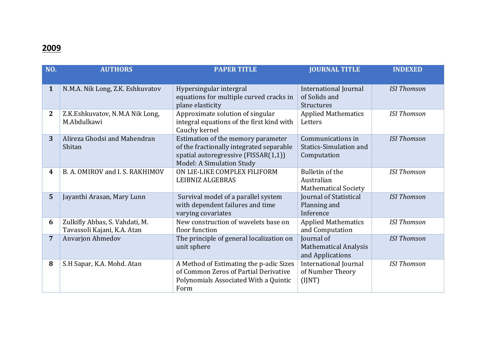## **2009**

| NO.          | <b>AUTHORS</b>                                                | <b>PAPER TITLE</b>                                                                                                                                         | <b>JOURNAL TITLE</b>                                               | <b>INDEXED</b>     |
|--------------|---------------------------------------------------------------|------------------------------------------------------------------------------------------------------------------------------------------------------------|--------------------------------------------------------------------|--------------------|
| $\mathbf{1}$ | N.M.A. Nik Long, Z.K. Eshkuvatov                              | Hypersingular intergral<br>equations for multiple curved cracks in<br>plane elasticity                                                                     | <b>International Journal</b><br>of Solids and<br><b>Structures</b> | <b>ISI</b> Thomson |
| $\mathbf{2}$ | Z.K.Eshkuvatov, N.M.A Nik Long,<br>M.Abdulkawi                | Approximate solution of singular<br>integral equations of the first kind with<br>Cauchy kernel                                                             | <b>Applied Mathematics</b><br>Letters                              | <b>ISI Thomson</b> |
| 3            | Alireza Ghodsi and Mahendran<br>Shitan                        | Estimation of the memory parameter<br>of the fractionally integrated separable<br>spatial autoregressive (FISSAR(1,1))<br><b>Model: A Simulation Study</b> | Communications in<br><b>Statics-Simulation and</b><br>Computation  | <b>ISI Thomson</b> |
| 4            | B. A. OMIROV and I. S. RAKHIMOV                               | ON LIE-LIKE COMPLEX FILIFORM<br>LEIBNIZ ALGEBRAS                                                                                                           | Bulletin of the<br>Australian<br><b>Mathematical Society</b>       | <b>ISI Thomson</b> |
| 5            | Jayanthi Arasan, Mary Lunn                                    | Survival model of a parallel system<br>with dependent failures and time<br>varying covariates                                                              | Journal of Statistical<br>Planning and<br>Inference                | <b>ISI Thomson</b> |
| 6            | Zulkifly Abbas, S. Vahdati, M.<br>Tavassoli Kajani, K.A. Atan | New construction of wavelets base on<br>floor function                                                                                                     | <b>Applied Mathematics</b><br>and Computation                      | <b>ISI Thomson</b> |
| 7            | Anvarjon Ahmedov                                              | The principle of general localization on<br>unit sphere                                                                                                    | Journal of<br><b>Mathematical Analysis</b><br>and Applications     | <b>ISI Thomson</b> |
| 8            | S.H Sapar, K.A. Mohd. Atan                                    | A Method of Estimating the p-adic Sizes<br>of Common Zeros of Partial Derivative<br>Polynomials Associated With a Quintic<br>Form                          | <b>International Journal</b><br>of Number Theory<br>(IJNT)         | <b>ISI Thomson</b> |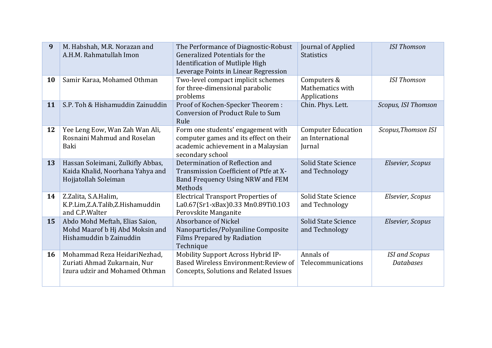| 9  | M. Habshah, M.R. Norazan and<br>A.H.M. Rahmatullah Imon                                        | The Performance of Diagnostic-Robust<br>Generalized Potentials for the<br><b>Identification of Mutliple High</b><br>Leverage Points in Linear Regression | Journal of Applied<br><b>Statistics</b>                 | <b>ISI Thomson</b>                        |
|----|------------------------------------------------------------------------------------------------|----------------------------------------------------------------------------------------------------------------------------------------------------------|---------------------------------------------------------|-------------------------------------------|
| 10 | Samir Karaa, Mohamed Othman                                                                    | Two-level compact implicit schemes<br>for three-dimensional parabolic<br>problems                                                                        | Computers &<br>Mathematics with<br>Applications         | <b>ISI Thomson</b>                        |
| 11 | S.P. Toh & Hishamuddin Zainuddin                                                               | Proof of Kochen-Specker Theorem :<br>Conversion of Product Rule to Sum<br>Rule                                                                           | Chin. Phys. Lett.                                       | Scopus, ISI Thomson                       |
| 12 | Yee Leng Eow, Wan Zah Wan Ali,<br>Rosnaini Mahmud and Roselan<br>Baki                          | Form one students' engagement with<br>computer games and its effect on their<br>academic achievement in a Malaysian<br>secondary school                  | <b>Computer Education</b><br>an International<br>Jurnal | Scopus, Thomson ISI                       |
| 13 | Hassan Soleimani, Zulkifly Abbas,<br>Kaida Khalid, Noorhana Yahya and<br>Hojjatollah Soleiman  | Determination of Reflection and<br>Transmission Coefficient of Ptfe at X-<br>Band Frequency Using NRW and FEM<br>Methods                                 | Solid State Science<br>and Technology                   | Elsevier, Scopus                          |
| 14 | Z.Zalita, S.A.Halim,<br>K.P.Lim,Z.A.Talib,Z.Hishamuddin<br>and C.P.Walter                      | <b>Electrical Transport Properties of</b><br>La0.67(Sr1-xBax)0.33 Mn0.89Ti0.103<br>Perovskite Manganite                                                  | Solid State Science<br>and Technology                   | Elsevier, Scopus                          |
| 15 | Abdo Mohd Meftah, Elias Saion,<br>Mohd Maarof b Hj Abd Moksin and<br>Hishamuddin b Zainuddin   | Absorbance of Nickel<br>Nanoparticles/Polyaniline Composite<br><b>Films Prepared by Radiation</b><br>Technique                                           | Solid State Science<br>and Technology                   | Elsevier, Scopus                          |
| 16 | Mohammad Reza HeidariNezhad,<br>Zuriati Ahmad Zukarnain, Nur<br>Izura udzir and Mohamed Othman | Mobility Support Across Hybrid IP-<br>Based Wireless Environment: Review of<br>Concepts, Solutions and Related Issues                                    | Annals of<br>Telecommunications                         | <b>ISI</b> and Scopus<br><b>Databases</b> |